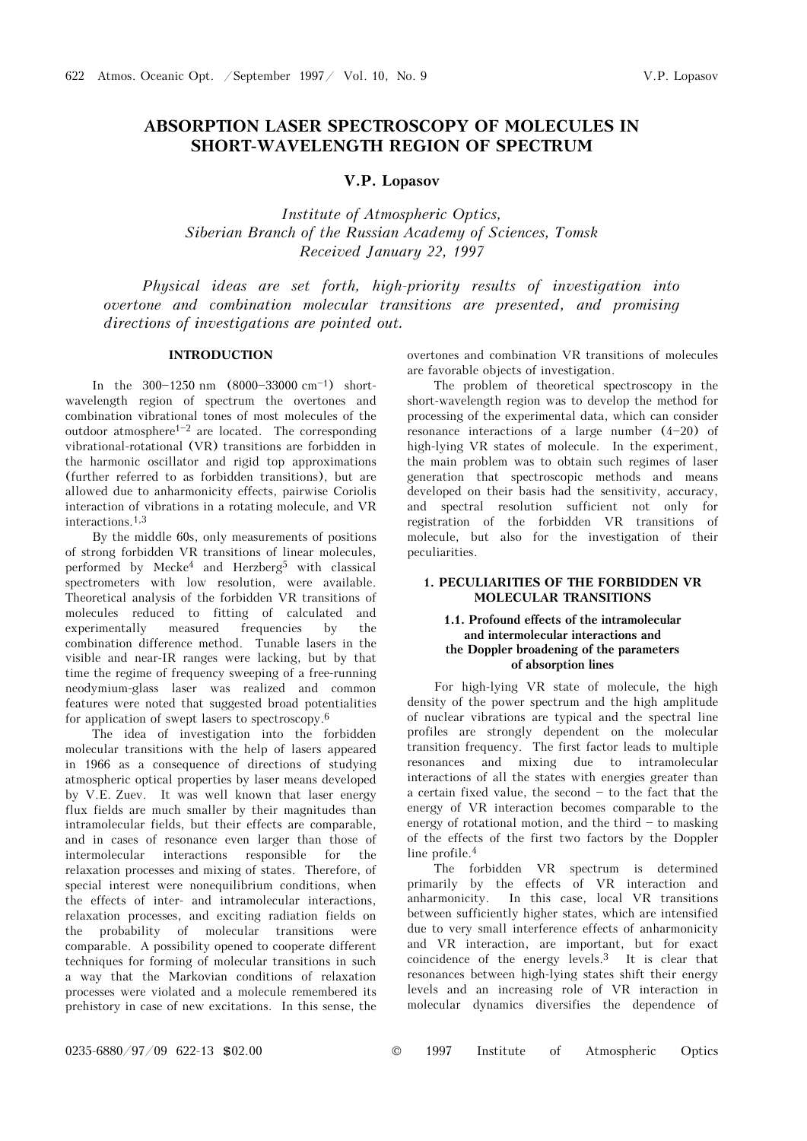# **ABSORPTION LASER SPECTROSCOPY OF MOLECULES IN SHORT-WAVELENGTH REGION OF SPECTRUM**

# **V.P. Lopasov**

*Institute of Atmospheric Optics, Siberian Branch of the Russian Academy of Sciences, Tomsk Received January 22, 1997* 

*Physical ideas are set forth, high-priority results of investigation into overtone and combination molecular transitions are presented, and promising directions of investigations are pointed out.* 

# **INTRODUCTION**

In the  $300-1250$  nm  $(8000-33000$  cm<sup>-1</sup>) shortwavelength region of spectrum the overtones and combination vibrational tones of most molecules of the outdoor atmosphere<sup>1-2</sup> are located. The corresponding vibrational-rotational (VR) transitions are forbidden in the harmonic oscillator and rigid top approximations (further referred to as forbidden transitions), but are allowed due to anharmonicity effects, pairwise Coriolis interaction of vibrations in a rotating molecule, and VR interactions.1,3

By the middle 60s, only measurements of positions of strong forbidden VR transitions of linear molecules, performed by Mecke4 and Herzberg5 with classical spectrometers with low resolution, were available. Theoretical analysis of the forbidden VR transitions of molecules reduced to fitting of calculated and experimentally measured frequencies by the combination difference method. Tunable lasers in the visible and near-IR ranges were lacking, but by that time the regime of frequency sweeping of a free-running neodymium-glass laser was realized and common features were noted that suggested broad potentialities for application of swept lasers to spectroscopy.6

The idea of investigation into the forbidden molecular transitions with the help of lasers appeared in 1966 as a consequence of directions of studying atmospheric optical properties by laser means developed by V.E. Zuev. It was well known that laser energy flux fields are much smaller by their magnitudes than intramolecular fields, but their effects are comparable, and in cases of resonance even larger than those of intermolecular interactions responsible for the relaxation processes and mixing of states. Therefore, of special interest were nonequilibrium conditions, when the effects of inter- and intramolecular interactions, relaxation processes, and exciting radiation fields on the probability of molecular transitions were comparable. A possibility opened to cooperate different techniques for forming of molecular transitions in such a way that the Markovian conditions of relaxation processes were violated and a molecule remembered its prehistory in case of new excitations. In this sense, the overtones and combination VR transitions of molecules are favorable objects of investigation.

The problem of theoretical spectroscopy in the short-wavelength region was to develop the method for processing of the experimental data, which can consider resonance interactions of a large number  $(4-20)$  of high-lying VR states of molecule. In the experiment, the main problem was to obtain such regimes of laser generation that spectroscopic methods and means developed on their basis had the sensitivity, accuracy, and spectral resolution sufficient not only for registration of the forbidden VR transitions of molecule, but also for the investigation of their peculiarities.

# **1. PECULIARITIES OF THE FORBIDDEN VR MOLECULAR TRANSITIONS**

# **1.1. Profound effects of the intramolecular and intermolecular interactions and the Doppler broadening of the parameters of absorption lines**

For high-lying VR state of molecule, the high density of the power spectrum and the high amplitude of nuclear vibrations are typical and the spectral line profiles are strongly dependent on the molecular transition frequency. The first factor leads to multiple resonances and mixing due to intramolecular interactions of all the states with energies greater than a certain fixed value, the second  $-$  to the fact that the energy of VR interaction becomes comparable to the energy of rotational motion, and the third  $-$  to masking of the effects of the first two factors by the Doppler line profile.4

The forbidden VR spectrum is determined primarily by the effects of VR interaction and anharmonicity. In this case, local VR transitions between sufficiently higher states, which are intensified due to very small interference effects of anharmonicity and VR interaction, are important, but for exact coincidence of the energy levels.3 It is clear that resonances between high-lying states shift their energy levels and an increasing role of VR interaction in molecular dynamics diversifies the dependence of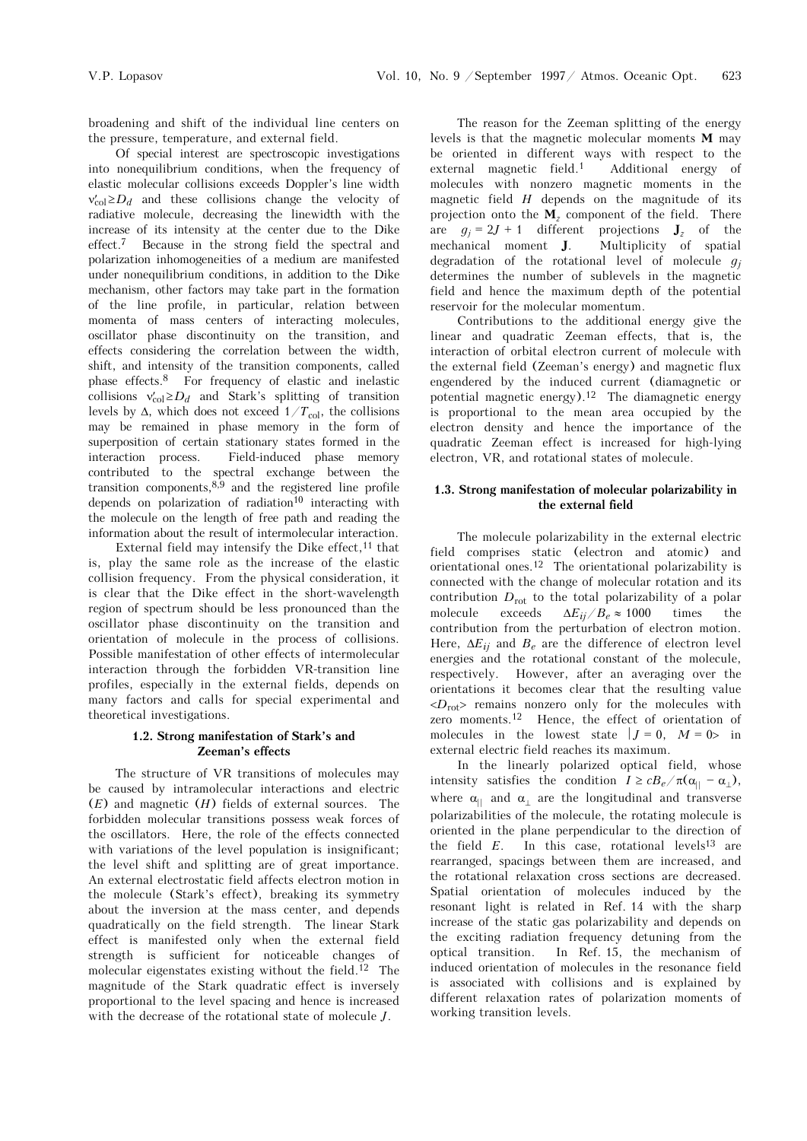broadening and shift of the individual line centers on the pressure, temperature, and external field.

Of special interest are spectroscopic investigations into nonequilibrium conditions, when the frequency of elastic molecular collisions exceeds Doppler's line width  $v'_{col} \ge D_d$  and these collisions change the velocity of radiative molecule, decreasing the linewidth with the increase of its intensity at the center due to the Dike effect.7 Because in the strong field the spectral and polarization inhomogeneities of a medium are manifested under nonequilibrium conditions, in addition to the Dike mechanism, other factors may take part in the formation of the line profile, in particular, relation between momenta of mass centers of interacting molecules, oscillator phase discontinuity on the transition, and effects considering the correlation between the width, shift, and intensity of the transition components, called phase effects.8 For frequency of elastic and inelastic collisions  $v'_{col} \ge D_d$  and Stark's splitting of transition levels by  $\Delta$ , which does not exceed  $1/T_{\text{col}}$ , the collisions may be remained in phase memory in the form of superposition of certain stationary states formed in the interaction process. Field-induced phase memory contributed to the spectral exchange between the transition components, $8,9$  and the registered line profile depends on polarization of radiation<sup>10</sup> interacting with the molecule on the length of free path and reading the information about the result of intermolecular interaction.

External field may intensify the Dike effect,  $11$  that is, play the same role as the increase of the elastic collision frequency. From the physical consideration, it is clear that the Dike effect in the short-wavelength region of spectrum should be less pronounced than the oscillator phase discontinuity on the transition and orientation of molecule in the process of collisions. Possible manifestation of other effects of intermolecular interaction through the forbidden VR-transition line profiles, especially in the external fields, depends on many factors and calls for special experimental and theoretical investigations.

### **1.2. Strong manifestation of Stark's and Zeeman's effects**

The structure of VR transitions of molecules may be caused by intramolecular interactions and electric (*E*) and magnetic (*H*) fields of external sources. The forbidden molecular transitions possess weak forces of the oscillators. Here, the role of the effects connected with variations of the level population is insignificant; the level shift and splitting are of great importance. An external electrostatic field affects electron motion in the molecule (Stark's effect), breaking its symmetry about the inversion at the mass center, and depends quadratically on the field strength. The linear Stark effect is manifested only when the external field strength is sufficient for noticeable changes of molecular eigenstates existing without the field.<sup>12</sup> The magnitude of the Stark quadratic effect is inversely proportional to the level spacing and hence is increased with the decrease of the rotational state of molecule *J*.

The reason for the Zeeman splitting of the energy levels is that the magnetic molecular moments **l** may be oriented in different ways with respect to the external magnetic field.1 Additional energy of molecules with nonzero magnetic moments in the magnetic field *H* depends on the magnitude of its projection onto the  $\mathbf{M}_z$  component of the field. There are  $g_j = 2J + 1$  different projections  $J_z$  of the mechanical moment  $J$ . Multiplicity of spatial Multiplicity of spatial degradation of the rotational level of molecule  $q_i$ determines the number of sublevels in the magnetic field and hence the maximum depth of the potential reservoir for the molecular momentum.

Contributions to the additional energy give the linear and quadratic Zeeman effects, that is, the interaction of orbital electron current of molecule with the external field (Zeeman's energy) and magnetic flux engendered by the induced current (diamagnetic or potential magnetic energy).12 The diamagnetic energy is proportional to the mean area occupied by the electron density and hence the importance of the quadratic Zeeman effect is increased for high-lying electron, VR, and rotational states of molecule.

## **1.3. Strong manifestation of molecular polarizability in the external field**

The molecule polarizability in the external electric field comprises static (electron and atomic) and orientational ones.12 The orientational polarizability is connected with the change of molecular rotation and its contribution  $D_{\text{rot}}$  to the total polarizability of a polar<br>molecule exceeds  $\Delta E_{ii}/B_e \approx 1000$  times the  $\Delta E_{ij}/B_e \approx 1000$ contribution from the perturbation of electron motion. Here,  $\Delta E_{ii}$  and  $B_e$  are the difference of electron level energies and the rotational constant of the molecule, respectively. However, after an averaging over the orientations it becomes clear that the resulting value  $\langle D_{\text{rot}} \rangle$  remains nonzero only for the molecules with zero moments.12 Hence, the effect of orientation of molecules in the lowest state  $|J = 0$ ,  $M = 0$  in external electric field reaches its maximum.

In the linearly polarized optical field, whose intensity satisfies the condition  $I \geq cB_e/\pi(\alpha_{||} - \alpha_{||})$ , where  $\alpha_{\parallel}$  and  $\alpha_{\perp}$  are the longitudinal and transverse polarizabilities of the molecule, the rotating molecule is oriented in the plane perpendicular to the direction of the field  $E$ . In this case, rotational levels<sup>13</sup> are rearranged, spacings between them are increased, and the rotational relaxation cross sections are decreased. Spatial orientation of molecules induced by the resonant light is related in Ref. 14 with the sharp increase of the static gas polarizability and depends on the exciting radiation frequency detuning from the optical transition. In Ref. 15, the mechanism of induced orientation of molecules in the resonance field is associated with collisions and is explained by different relaxation rates of polarization moments of working transition levels.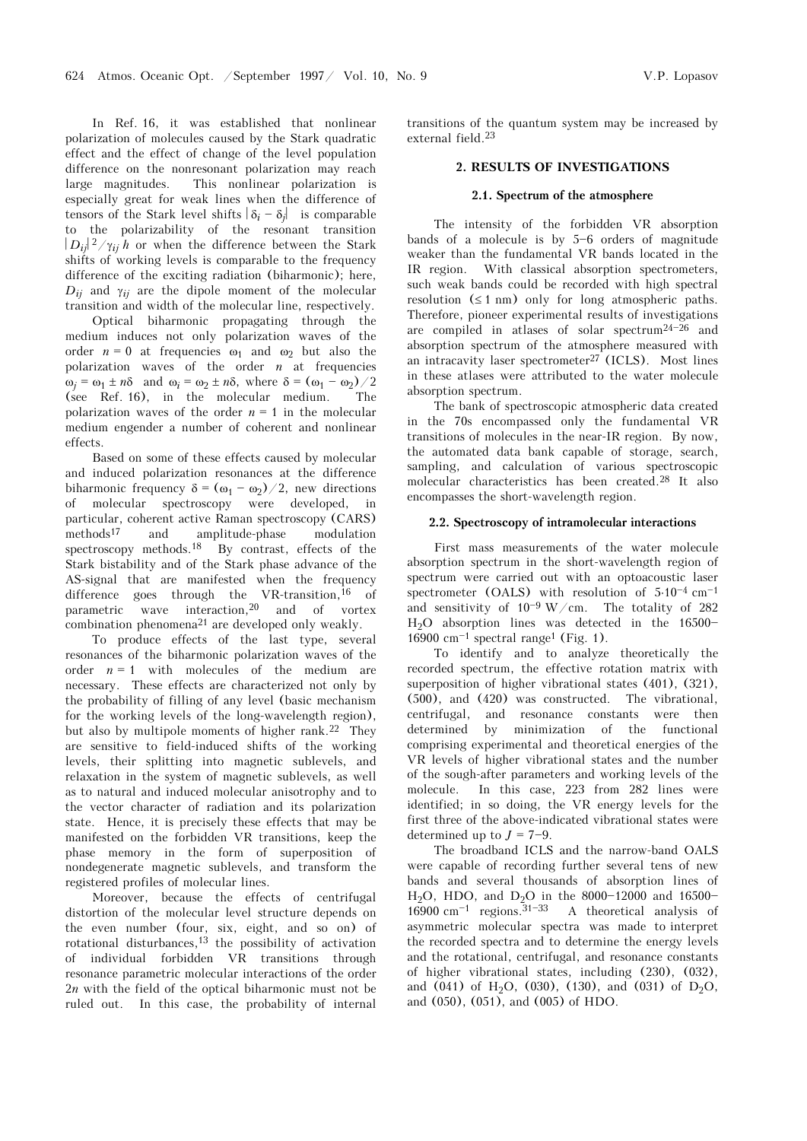In Ref. 16, it was established that nonlinear polarization of molecules caused by the Stark quadratic effect and the effect of change of the level population difference on the nonresonant polarization may reach large magnitudes. This nonlinear polarization is especially great for weak lines when the difference of tensors of the Stark level shifts  $|\delta_i - \delta_j|$  is comparable to the polarizability of the resonant transition  $|D_{ij}|^2/\gamma_{ij}$  h or when the difference between the Stark shifts of working levels is comparable to the frequency difference of the exciting radiation (biharmonic); here,  $D_{ii}$  and  $\gamma_{ii}$  are the dipole moment of the molecular transition and width of the molecular line, respectively.

Optical biharmonic propagating through the medium induces not only polarization waves of the order  $n = 0$  at frequencies  $\omega_1$  and  $\omega_2$  but also the polarization waves of the order *n* at frequencies  $\omega_j = \omega_1 \pm n\delta$  and  $\omega_i = \omega_2 \pm n\delta$ , where  $\delta = (\omega_1 - \omega_2)/2$ (see Ref. 16), in the molecular medium. The polarization waves of the order  $n = 1$  in the molecular medium engender a number of coherent and nonlinear effects.

Based on some of these effects caused by molecular and induced polarization resonances at the difference biharmonic frequency  $\delta = (\omega_1 - \omega_2)/2$ , new directions of molecular spectroscopy were developed, in particular, coherent active Raman spectroscopy (CARS) methods17 and amplitude-phase modulation spectroscopy methods.18 By contrast, effects of the Stark bistability and of the Stark phase advance of the AS-signal that are manifested when the frequency difference goes through the VR-transition,  $^{16}$  of parametric wave interaction,20 and of vortex combination phenomena21 are developed only weakly.

To produce effects of the last type, several resonances of the biharmonic polarization waves of the order  $n = 1$  with molecules of the medium are necessary. These effects are characterized not only by the probability of filling of any level (basic mechanism for the working levels of the long-wavelength region), but also by multipole moments of higher rank.22 They are sensitive to field-induced shifts of the working levels, their splitting into magnetic sublevels, and relaxation in the system of magnetic sublevels, as well as to natural and induced molecular anisotrophy and to the vector character of radiation and its polarization state. Hence, it is precisely these effects that may be manifested on the forbidden VR transitions, keep the phase memory in the form of superposition of nondegenerate magnetic sublevels, and transform the registered profiles of molecular lines.

Moreover, because the effects of centrifugal distortion of the molecular level structure depends on the even number (four, six, eight, and so on) of rotational disturbances,<sup>13</sup> the possibility of activation of individual forbidden VR transitions through resonance parametric molecular interactions of the order 2*n* with the field of the optical biharmonic must not be ruled out. In this case, the probability of internal transitions of the quantum system may be increased by external field.23

### **2. RESULTS OF INVESTIGATIONS**

#### **2.1. Spectrum of the atmosphere**

The intensity of the forbidden VR absorption bands of a molecule is by  $5-6$  orders of magnitude weaker than the fundamental VR bands located in the IR region. With classical absorption spectrometers, such weak bands could be recorded with high spectral resolution  $(≤ 1 nm)$  only for long atmospheric paths. Therefore, pioneer experimental results of investigations are compiled in atlases of solar spectrum<sup>24-26</sup> and absorption spectrum of the atmosphere measured with an intracavity laser spectrometer $27$  (ICLS). Most lines in these atlases were attributed to the water molecule absorption spectrum.

The bank of spectroscopic atmospheric data created in the 70s encompassed only the fundamental VR transitions of molecules in the near-IR region. By now, the automated data bank capable of storage, search, sampling, and calculation of various spectroscopic molecular characteristics has been created.28 It also encompasses the short-wavelength region.

#### **2.2. Spectroscopy of intramolecular interactions**

First mass measurements of the water molecule absorption spectrum in the short-wavelength region of spectrum were carried out with an optoacoustic laser spectrometer (OALS) with resolution of  $5.10^{-4}$  cm<sup>-1</sup> and sensitivity of  $10^{-9}$  W/cm. The totality of 282  $H<sub>2</sub>O$  absorption lines was detected in the 16500-16900 cm<sup> $-1$ </sup> spectral range<sup>1</sup> (Fig. 1).

To identify and to analyze theoretically the recorded spectrum, the effective rotation matrix with superposition of higher vibrational states (401), (321), (500), and (420) was constructed. The vibrational, centrifugal, and resonance constants were then determined by minimization of the functional comprising experimental and theoretical energies of the VR levels of higher vibrational states and the number of the sough-after parameters and working levels of the molecule. In this case, 223 from 282 lines were identified; in so doing, the VR energy levels for the first three of the above-indicated vibrational states were determined up to  $J = 7-9$ .

The broadband ICLS and the narrow-band OALS were capable of recording further several tens of new bands and several thousands of absorption lines of H<sub>2</sub>O, HDO, and D<sub>2</sub>O in the 8000-12000 and 16500-16900 cm<sup> $-1$ </sup> regions.<sup>31-33</sup> A theoretical analysis of asymmetric molecular spectra was made to interpret the recorded spectra and to determine the energy levels and the rotational, centrifugal, and resonance constants of higher vibrational states, including (230), (032), and (041) of H<sub>2</sub>O, (030), (130), and (031) of D<sub>2</sub>O, and (050), (051), and (005) of HDO.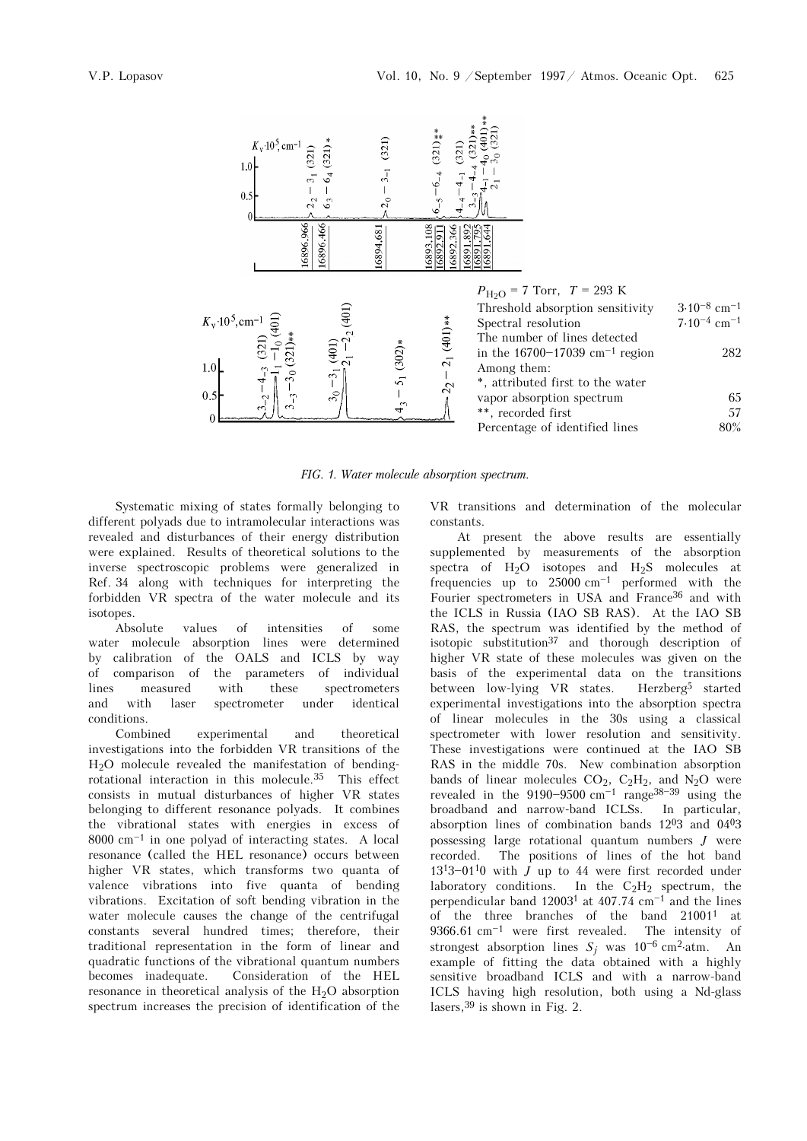

*FIG. 1. Water molecule absorption spectrum.* 

Systematic mixing of states formally belonging to different polyads due to intramolecular interactions was revealed and disturbances of their energy distribution were explained. Results of theoretical solutions to the inverse spectroscopic problems were generalized in Ref. 34 along with techniques for interpreting the forbidden VR spectra of the water molecule and its isotopes.

Absolute values of intensities of some water molecule absorption lines were determined by calibration of the OALS and ICLS by way of comparison of the parameters of individual lines measured with these spectrometers and with laser spectrometer under identical conditions.

Combined experimental and theoretical investigations into the forbidden VR transitions of the H2O molecule revealed the manifestation of bendingrotational interaction in this molecule.35 This effect consists in mutual disturbances of higher VR states belonging to different resonance polyads. It combines the vibrational states with energies in excess of  $8000 \text{ cm}^{-1}$  in one polyad of interacting states. A local resonance (called the HEL resonance) occurs between higher VR states, which transforms two quanta of valence vibrations into five quanta of bending vibrations. Excitation of soft bending vibration in the water molecule causes the change of the centrifugal constants several hundred times; therefore, their traditional representation in the form of linear and quadratic functions of the vibrational quantum numbers becomes inadequate. Consideration of the HEL resonance in theoretical analysis of the  $H_2O$  absorption spectrum increases the precision of identification of the VR transitions and determination of the molecular constants.

At present the above results are essentially supplemented by measurements of the absorption spectra of  $H_2O$  isotopes and  $H_2S$  molecules at frequencies up to  $25000 \text{ cm}^{-1}$  performed with the Fourier spectrometers in USA and France<sup>36</sup> and with the ICLS in Russia (IAO SB RAS). At the IAO SB RAS, the spectrum was identified by the method of isotopic substitution<sup>37</sup> and thorough description of higher VR state of these molecules was given on the basis of the experimental data on the transitions between low-lying VR states. Herzberg5 started experimental investigations into the absorption spectra of linear molecules in the 30s using a classical spectrometer with lower resolution and sensitivity. These investigations were continued at the IAO SB RAS in the middle 70s. New combination absorption bands of linear molecules  $CO<sub>2</sub>$ ,  $C<sub>2</sub>H<sub>2</sub>$ , and N<sub>2</sub>O were revealed in the  $9190 - 9500$  cm<sup> $-1$ </sup> range<sup>38-39</sup> using the broadband and narrow-band ICLSs. In particular, absorption lines of combination bands  $12^{0}3$  and  $04^{0}3$ possessing large rotational quantum numbers *J* were recorded. The positions of lines of the hot band  $13^{13}-01^{10}$  with *J* up to 44 were first recorded under laboratory conditions. In the  $C_2H_2$  spectrum, the perpendicular band  $12003<sup>1</sup>$  at 407.74 cm<sup>-1</sup> and the lines of the three branches of the band 210011 at  $9366.61$  cm<sup>-1</sup> were first revealed. The intensity of strongest absorption lines  $S_j$  was 10<sup>-6</sup> cm<sup>2</sup>⋅atm. An example of fitting the data obtained with a highly sensitive broadband ICLS and with a narrow-band ICLS having high resolution, both using a Nd-glass lasers,39 is shown in Fig. 2.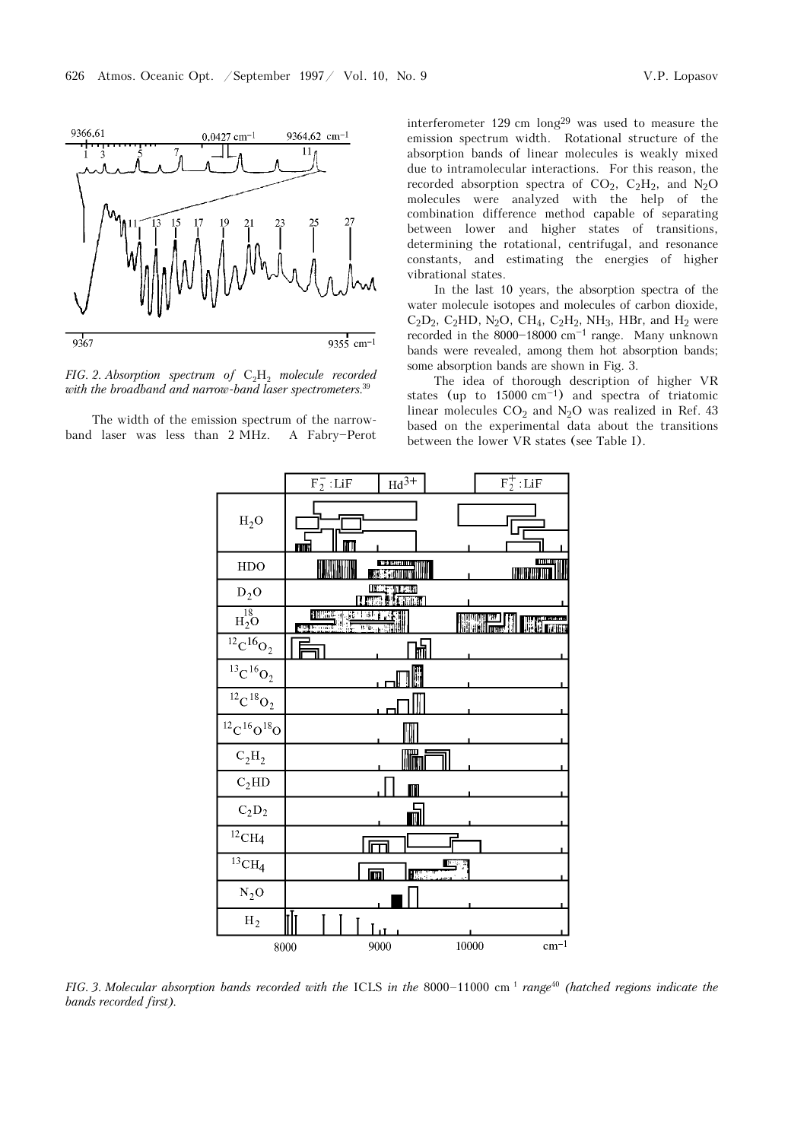

*FIG. 2. Absorption spectrum of*  $C_2H_2$  *molecule recorded with the broadband and narrow-band laser spectrometers*. 39

The width of the emission spectrum of the narrowband laser was less than 2 MHz. A Fabry-Perot interferometer 129 cm long29 was used to measure the emission spectrum width. Rotational structure of the absorption bands of linear molecules is weakly mixed due to intramolecular interactions. For this reason, the recorded absorption spectra of  $CO_2$ ,  $C_2H_2$ , and  $N_2O$ molecules were analyzed with the help of the combination difference method capable of separating between lower and higher states of transitions, determining the rotational, centrifugal, and resonance constants, and estimating the energies of higher vibrational states.

In the last 10 years, the absorption spectra of the water molecule isotopes and molecules of carbon dioxide,  $C_2D_2$ ,  $C_2HD$ ,  $N_2O$ ,  $CH_4$ ,  $C_2H_2$ ,  $NH_3$ ,  $HBr$ , and  $H_2$  were recorded in the  $8000-18000$  cm<sup> $-1$ </sup> range. Many unknown bands were revealed, among them hot absorption bands; some absorption bands are shown in Fig. 3.

The idea of thorough description of higher VR states (up to  $15000 \text{ cm}^{-1}$ ) and spectra of triatomic linear molecules  $CO<sub>2</sub>$  and N<sub>2</sub>O was realized in Ref. 43 based on the experimental data about the transitions between the lower VR states (see Table I).



*FIG. 3. Molecular absorption bands recorded with the* ICLS *in the* 8000-11000 cm<sup>1</sup> *range<sup>40</sup> (hatched regions indicate the bands recorded first).*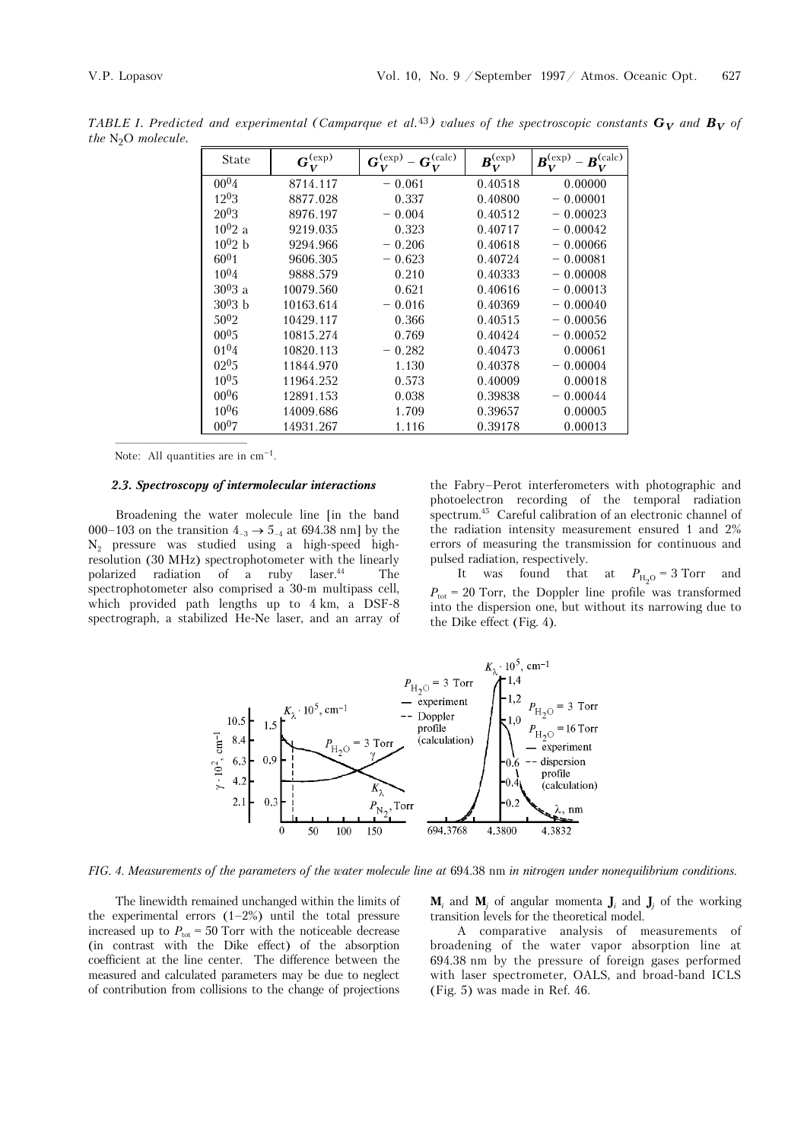*TABLE I. Predicted and experimental (Camparque et al.*<sup>43</sup>) values of the spectroscopic constants  $G_V$  and  $B_V$  of *the* N2O *molecule.* 

| <b>State</b> | $\boldsymbol{G}^{(\rm exp)}$<br>V | $\boldsymbol{G}^{(\text{calc})}$<br>$\mathbf{G}^{\text{(exp)}}$<br>V | $B_{\text{-}}^{\text{(exp)}}$<br>V | $B^{\rm (calc)}$<br>$B_{\tau\tau}^{\rm (exp)}$ –<br>V |
|--------------|-----------------------------------|----------------------------------------------------------------------|------------------------------------|-------------------------------------------------------|
| $00^{04}$    | 8714.117                          | $-0.061$                                                             | 0.40518                            | 0.00000                                               |
| 1203         | 8877.028                          | 0.337                                                                | 0.40800                            | $-0.00001$                                            |
| $20^{0}3$    | 8976.197                          | $-0.004$                                                             | 0.40512                            | $-0.00023$                                            |
| $10^{0}2$ a  | 9219.035                          | 0.323                                                                | 0.40717                            | $-0.00042$                                            |
| $10^{0}$ 2 b | 9294.966                          | $-0.206$                                                             | 0.40618                            | $-0.00066$                                            |
| $60^{0}1$    | 9606.305                          | $-0.623$                                                             | 0.40724                            | $-0.00081$                                            |
| $10^{0}4$    | 9888.579                          | 0.210                                                                | 0.40333                            | $-0.00008$                                            |
| $3003$ a     | 10079.560                         | 0.621                                                                | 0.40616                            | $-0.00013$                                            |
| $3003$ b     | 10163.614                         | $-0.016$                                                             | 0.40369                            | $-0.00040$                                            |
| $50^{02}$    | 10429.117                         | 0.366                                                                | 0.40515                            | $-0.00056$                                            |
| $00^{0.5}$   | 10815.274                         | 0.769                                                                | 0.40424                            | $-0.00052$                                            |
| $01^{04}$    | 10820.113                         | $-0.282$                                                             | 0.40473                            | 0.00061                                               |
| $02^{0.5}$   | 11844.970                         | 1.130                                                                | 0.40378                            | $-0.00004$                                            |
| $10^{0.5}$   | 11964.252                         | 0.573                                                                | 0.40009                            | 0.00018                                               |
| $00^{0}6$    | 12891.153                         | 0.038                                                                | 0.39838                            | $-0.00044$                                            |
| $10^{0}$ 6   | 14009.686                         | 1.709                                                                | 0.39657                            | 0.00005                                               |
| $00^{07}$    | 14931.267                         | 1.116                                                                | 0.39178                            | 0.00013                                               |
|              |                                   |                                                                      |                                    |                                                       |

Note: All quantities are in  $cm<sup>-1</sup>$ .

#### *2.3. Spectroscopy of intermolecular interactions*

Broadening the water molecule line [in the band 000–103 on the transition  $4_{-3} \rightarrow 5_{-4}$  at 694.38 nm] by the N2 pressure was studied using a high-speed highresolution (30 MHz) spectrophotometer with the linearly polarized radiation of a ruby laser.<sup>44</sup> The spectrophotometer also comprised a 30-m multipass cell, which provided path lengths up to 4 km, a DSF-8 spectrograph, a stabilized He-Ne laser, and an array of

the Fabry–Perot interferometers with photographic and photoelectron recording of the temporal radiation spectrum.45 Careful calibration of an electronic channel of the radiation intensity measurement ensured 1 and 2% errors of measuring the transmission for continuous and pulsed radiation, respectively.

It was found that at  $P_{\text{H}_2\text{O}} = 3$  Torr and  $P_{\text{tot}}$  = 20 Torr, the Doppler line profile was transformed into the dispersion one, but without its narrowing due to the Dike effect (Fig. 4).



*FIG. 4. Measurements of the parameters of the water molecule line at* 694.38 nm *in nitrogen under nonequilibrium conditions.* 

The linewidth remained unchanged within the limits of the experimental errors  $(1-2\%)$  until the total pressure increased up to  $P_{\text{tot}} = 50$  Torr with the noticeable decrease (in contrast with the Dike effect) of the absorption coefficient at the line center. The difference between the measured and calculated parameters may be due to neglect of contribution from collisions to the change of projections

 $M_i$  and  $M_j$  of angular momenta  $J_i$  and  $J_j$  of the working transition levels for the theoretical model.

A comparative analysis of measurements of broadening of the water vapor absorption line at 694.38 nm by the pressure of foreign gases performed with laser spectrometer, OALS, and broad-band ICLS (Fig. 5) was made in Ref. 46.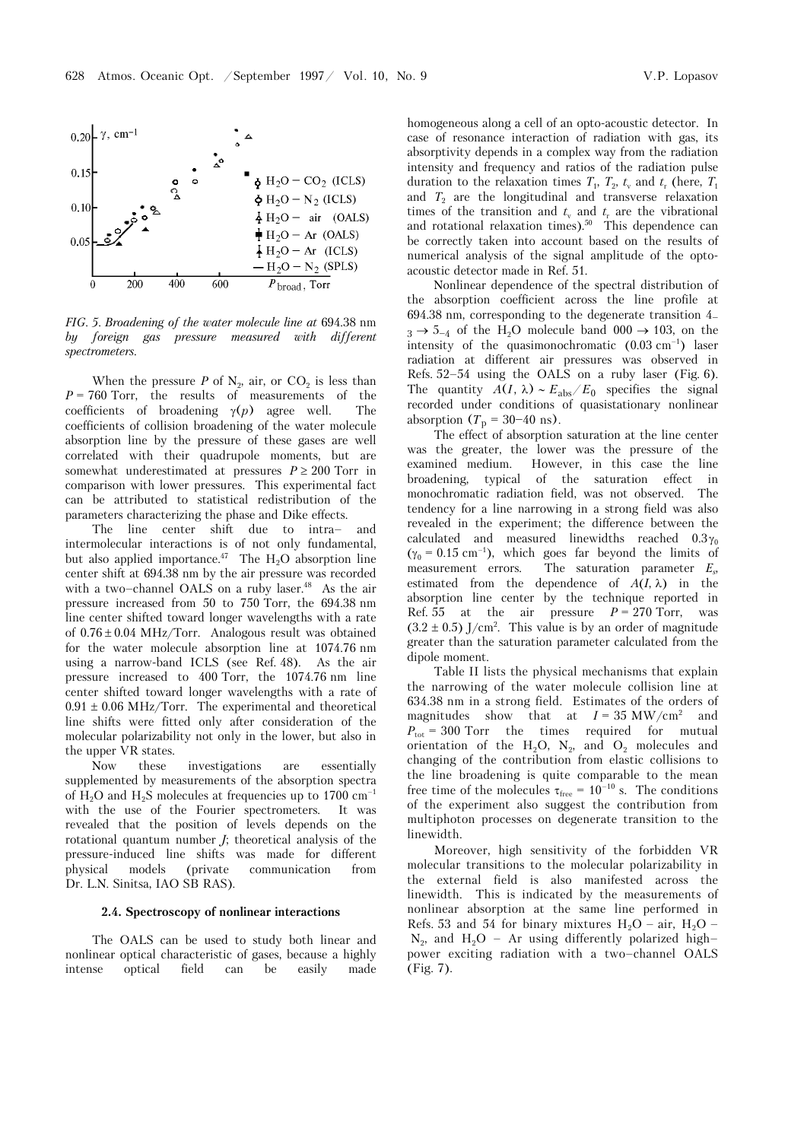



*FIG. 5. Broadening of the water molecule line at* 694.38 nm *by foreign gas pressure measured with different spectrometers.* 

When the pressure  $P$  of  $N_2$ , air, or  $CO_2$  is less than  $P = 760$  Torr, the results of measurements of the coefficients of broadening γ(*p*) agree well. The coefficients of collision broadening of the water molecule absorption line by the pressure of these gases are well correlated with their quadrupole moments, but are somewhat underestimated at pressures  $P \ge 200$  Torr in comparison with lower pressures. This experimental fact can be attributed to statistical redistribution of the parameters characterizing the phase and Dike effects.

The line center shift due to intra– and intermolecular interactions is of not only fundamental, but also applied importance.<sup>47</sup> The  $H_2O$  absorption line center shift at 694.38 nm by the air pressure was recorded with a two–channel OALS on a ruby laser. $48$  As the air pressure increased from 50 to 750 Torr, the 694.38 nm line center shifted toward longer wavelengths with a rate of  $0.76 \pm 0.04$  MHz/Torr. Analogous result was obtained for the water molecule absorption line at 1074.76 nm using a narrow-band ICLS (see Ref. 48). As the air pressure increased to 400 Torr, the 1074.76 nm line center shifted toward longer wavelengths with a rate of  $0.91 \pm 0.06$  MHz/Torr. The experimental and theoretical line shifts were fitted only after consideration of the molecular polarizability not only in the lower, but also in the upper VR states.

Now these investigations are essentially supplemented by measurements of the absorption spectra of H<sub>2</sub>O and H<sub>2</sub>S molecules at frequencies up to 1700 cm<sup>-1</sup> with the use of the Fourier spectrometers. It was revealed that the position of levels depends on the rotational quantum number *J*; theoretical analysis of the pressure-induced line shifts was made for different physical models (private communication from Dr. L.N. Sinitsa, IAO SB RAS).

### **2.4. Spectroscopy of nonlinear interactions**

The OALS can be used to study both linear and nonlinear optical characteristic of gases, because a highly<br>intense optical field can be easily made intense optical field can be easily made

homogeneous along a cell of an opto-acoustic detector. In case of resonance interaction of radiation with gas, its absorptivity depends in a complex way from the radiation intensity and frequency and ratios of the radiation pulse duration to the relaxation times  $T_1$ ,  $T_2$ ,  $t_v$  and  $t_r$  (here,  $T_1$ and  $T_2$  are the longitudinal and transverse relaxation times of the transition and  $t<sub>v</sub>$  and  $t<sub>r</sub>$  are the vibrational and rotational relaxation times).<sup>50</sup> This dependence can be correctly taken into account based on the results of numerical analysis of the signal amplitude of the optoacoustic detector made in Ref. 51.

Nonlinear dependence of the spectral distribution of the absorption coefficient across the line profile at 694.38 nm, corresponding to the degenerate transition  $4$  $3 \rightarrow 5_{-4}$  of the H<sub>2</sub>O molecule band 000  $\rightarrow$  103, on the intensity of the quasimonochromatic  $(0.03 \text{ cm}^{-1})$  laser radiation at different air pressures was observed in Refs. 52–54 using the OALS on a ruby laser (Fig. 6). The quantity  $A(I, \lambda) \sim E_{\text{abs}}/E_0$  specifies the signal recorded under conditions of quasistationary nonlinear absorption  $(T_p = 30-40 \text{ ns})$ .

The effect of absorption saturation at the line center was the greater, the lower was the pressure of the examined medium. However, in this case the line broadening, typical of the saturation effect in monochromatic radiation field, was not observed. The tendency for a line narrowing in a strong field was also revealed in the experiment; the difference between the calculated and measured linewidths reached  $0.3\gamma_0$ ( $\gamma_0$  = 0.15 cm<sup>-1</sup>), which goes far beyond the limits of measurement errors. The saturation parameter  $E_s$ The saturation parameter  $E_s$ , estimated from the dependence of  $A(I, \lambda)$  in the absorption line center by the technique reported in Ref. 55 at the air pressure  $P = 270$  Torr, was  $(3.2 \pm 0.5)$  J/cm<sup>2</sup>. This value is by an order of magnitude greater than the saturation parameter calculated from the dipole moment.

Table II lists the physical mechanisms that explain the narrowing of the water molecule collision line at 634.38 nm in a strong field. Estimates of the orders of magnitudes show that at  $I = 35 \text{ MW/cm}^2$  and  $P_{\text{tot}} = 300$  Torr the times required for mutual orientation of the H<sub>2</sub>O, N<sub>2</sub>, and O<sub>2</sub> molecules and changing of the contribution from elastic collisions to the line broadening is quite comparable to the mean free time of the molecules  $\tau_{\text{free}} = 10^{-10}$  s. The conditions of the experiment also suggest the contribution from multiphoton processes on degenerate transition to the linewidth.

Moreover, high sensitivity of the forbidden VR molecular transitions to the molecular polarizability in the external field is also manifested across the linewidth. This is indicated by the measurements of nonlinear absorption at the same line performed in Refs. 53 and 54 for binary mixtures  $H_2O - air$ ,  $H_2O N_2$ , and  $H_2O$  – Ar using differently polarized high– power exciting radiation with a two–channel OALS (Fig. 7).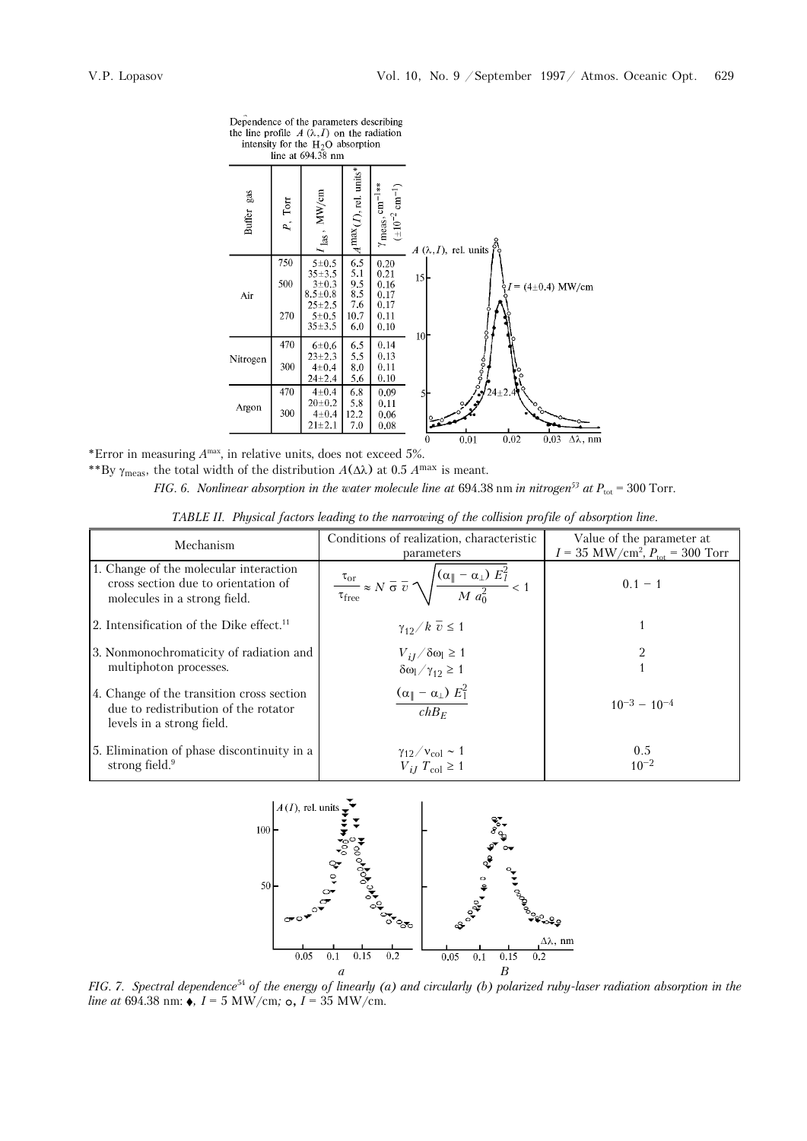line at  $694.38$  nm  $A^{\text{max}}(I)$ , rel. units<sup>\*</sup>  $(\pm 10^{-2} \text{ cm}^{-1})$ gas MW/cm  $\gamma$  meas,  $cm^{-1}$  $_{\rm Torr}$ **Buffer**  $P$  $\mathbf{a}$  $A(\lambda, I)$ , rel. units  $\frac{6.5}{5.1}$ 750  $5 ± 0.5$  $0.20$  $35 + 3.5$  $0.21$ 15  $\frac{9.5}{8.5}$ <br>7.6  $3\pm0.3$ <br>8.5 $\pm0.8$ 500  $0.16$  $(4\pm0.4)$  MW/cm  $\begin{array}{c} 0.17 \\ 0.17 \end{array}$ Air  $25 + 2.5$ 270 10.7  $5 + 0.5$  $0.11$  $35 + 3.5$ 6.0  $0.10$  $\mathbf{1}$ 470  $6\pm0.6$ 6.5  $0.14$  $23 + 2.3$ 5,5  $0.13$ Nitrogen 300  $\overline{\mathbf{8.0}}$  $4\pm0.4$  $0.11$  $24 + 2.4$ 5.6  $0.10$ 470  $4 + 0.4$  $6.8$ <br>5.8  $0.09$  $20{\pm}0.2$  $0.11$ Argon 300  $4 + 0.4$ 12.2  $0.06$  $21 + 2.1$ 7.0  $0.08$  $0.02$  $\rm 0.01$  $0.03$  $\Delta\lambda$ , nm

Dependence of the parameters describing the line profile  $A(\lambda, I)$  on the radiation intensity for the  $H_2O$  absorption

\*Error in measuring *A*max, in relative units, does not exceed 5%. \*\*By  $\gamma_{\text{meas}}$ , the total width of the distribution  $A(\Delta\lambda)$  at 0.5  $A^{\text{max}}$  is meant.

*FIG. 6. Nonlinear absorption in the water molecule line at 694.38 nm <i>in nitrogen*<sup>53</sup> at  $P_{\text{tot}} = 300$  Torr.

*TABLE II. Physical factors leading to the narrowing of the collision profile of absorption line.*

| Mechanism                                                                                                      | Conditions of realization, characteristic<br>parameters                                                                              | Value of the parameter at<br>$I = 35$ MW/cm <sup>2</sup> , $P_{\text{tot}} = 300$ Torr |  |
|----------------------------------------------------------------------------------------------------------------|--------------------------------------------------------------------------------------------------------------------------------------|----------------------------------------------------------------------------------------|--|
| 1. Change of the molecular interaction<br>cross section due to orientation of<br>molecules in a strong field.  | $\tau_{\text{or}}$ $\approx N \overline{\sigma} \overline{v} \sqrt{\frac{(\alpha_{\parallel} - \alpha_{\perp}) E_l^2}{M a_0^2}} < 1$ | $0.1 - 1$                                                                              |  |
| 2. Intensification of the Dike effect. <sup>11</sup>                                                           | $\gamma_{12}/k \overline{v} \leq 1$                                                                                                  |                                                                                        |  |
| 3. Nonmonochromaticity of radiation and<br>multiphoton processes.                                              | $V_{iJ}/\delta\omega_l \ge 1$<br>$\delta\omega_l/\gamma_{12} \ge 1$                                                                  |                                                                                        |  |
| 4. Change of the transition cross section<br>due to redistribution of the rotator<br>levels in a strong field. | $\frac{\left(\alpha_\  - \alpha_\perp\right)\,E_\perp^2}{chB_E}$                                                                     | $10^{-3} - 10^{-4}$                                                                    |  |
| 5. Elimination of phase discontinuity in a<br>strong field. <sup>9</sup>                                       | $\frac{\gamma_{12}}{\gamma_{iJ}} \frac{V_{\text{col}}}{T_{\text{col}}} \geq 1$                                                       | 0.5<br>$10^{-2}$                                                                       |  |



*FIG. 7. Spectral dependence*<sup>54</sup> *of the energy of linearly (a) and circularly (b) polarized ruby-laser radiation absorption in the line at* 694.38 nm:  $\bullet$ , *I* = 5 MW/cm; **o**, *I* = 35 MW/cm.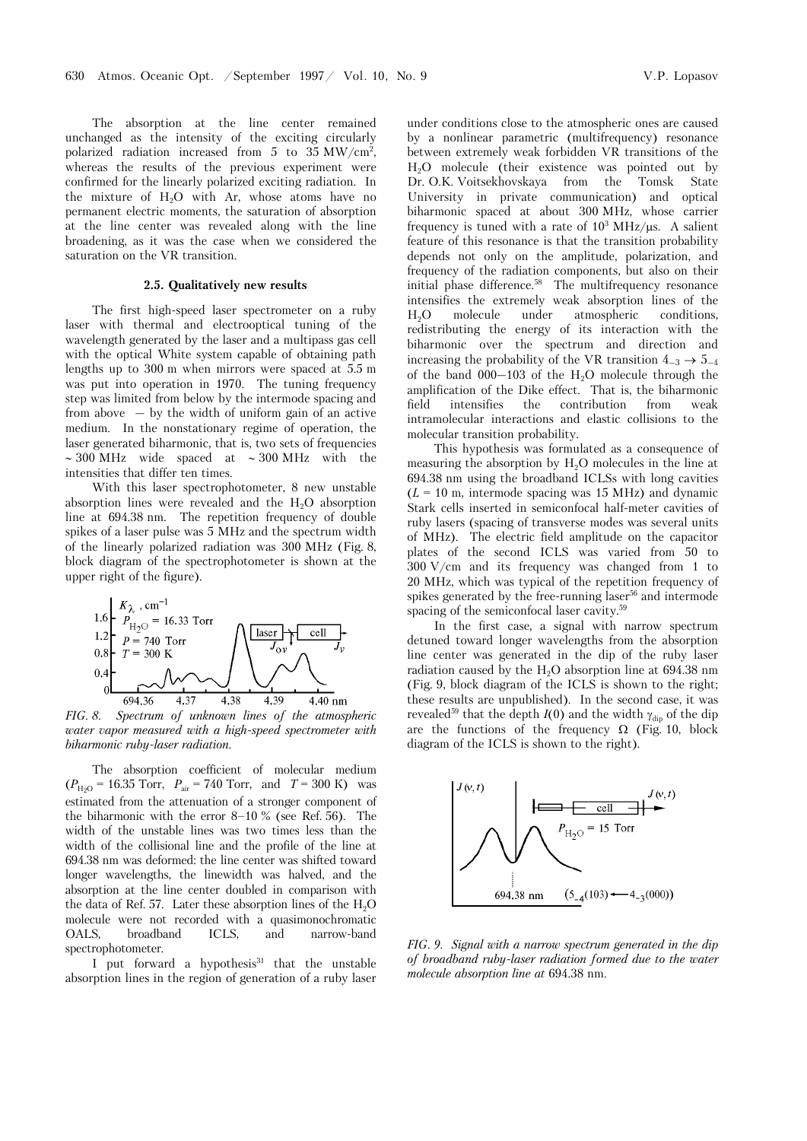The absorption at the line center remained unchanged as the intensity of the exciting circularly polarized radiation increased from 5 to 35 MW/cm<sup>2</sup>, whereas the results of the previous experiment were confirmed for the linearly polarized exciting radiation. In the mixture of  $H<sub>2</sub>O$  with Ar, whose atoms have no permanent electric moments, the saturation of absorption at the line center was revealed along with the line broadening, as it was the case when we considered the saturation on the VR transition.

### **2.5. Qualitatively new results**

The first high-speed laser spectrometer on a ruby laser with thermal and electrooptical tuning of the wavelength generated by the laser and a multipass gas cell with the optical White system capable of obtaining path lengths up to 300 m when mirrors were spaced at 5.5 m was put into operation in 1970. The tuning frequency step was limited from below by the intermode spacing and from above  $-$  by the width of uniform gain of an active medium. In the nonstationary regime of operation, the laser generated biharmonic, that is, two sets of frequencies ∼ 300 MHz wide spaced at ∼ 300 MHz with the intensities that differ ten times.

With this laser spectrophotometer, 8 new unstable absorption lines were revealed and the H2O absorption line at 694.38 nm. The repetition frequency of double spikes of a laser pulse was 5 MHz and the spectrum width of the linearly polarized radiation was 300 MHz (Fig. 8, block diagram of the spectrophotometer is shown at the upper right of the figure).



*FIG. 8. Spectrum of unknown lines of the atmospheric water vapor measured with a high-speed spectrometer with biharmonic ruby-laser radiation.*

The absorption coefficient of molecular medium  $(P_{H_2O} = 16.35$  Torr,  $P_{air} = 740$  Torr, and  $T = 300$  K) was estimated from the attenuation of a stronger component of the biharmonic with the error 8–10 % (see Ref. 56). The width of the unstable lines was two times less than the width of the collisional line and the profile of the line at 694.38 nm was deformed: the line center was shifted toward longer wavelengths, the linewidth was halved, and the absorption at the line center doubled in comparison with the data of Ref. 57. Later these absorption lines of the  $H_2O$ molecule were not recorded with a quasimonochromatic OALS, broadband ICLS, and narrow-band spectrophotometer.

I put forward a hypothesis $31$  that the unstable absorption lines in the region of generation of a ruby laser

under conditions close to the atmospheric ones are caused by a nonlinear parametric (multifrequency) resonance between extremely weak forbidden VR transitions of the H2O molecule (their existence was pointed out by Dr. O.K. Voitsekhovskaya from the Tomsk State University in private communication) and optical biharmonic spaced at about 300 MHz, whose carrier frequency is tuned with a rate of  $10^3$  MHz/ $\mu$ s. A salient feature of this resonance is that the transition probability depends not only on the amplitude, polarization, and frequency of the radiation components, but also on their initial phase difference.<sup>58</sup> The multifrequency resonance intensifies the extremely weak absorption lines of the H2O molecule under atmospheric conditions, redistributing the energy of its interaction with the biharmonic over the spectrum and direction and increasing the probability of the VR transition  $4_{-3} \rightarrow 5_{-4}$ of the band  $000-103$  of the H<sub>2</sub>O molecule through the amplification of the Dike effect. That is, the biharmonic field intensifies the contribution from weak intramolecular interactions and elastic collisions to the molecular transition probability.

This hypothesis was formulated as a consequence of measuring the absorption by  $H_2O$  molecules in the line at 694.38 nm using the broadband ICLSs with long cavities  $(L = 10 \text{ m}, \text{intermode spacing was } 15 \text{ MHz})$  and dynamic Stark cells inserted in semiconfocal half-meter cavities of ruby lasers (spacing of transverse modes was several units of MHz). The electric field amplitude on the capacitor plates of the second ICLS was varied from 50 to 300 V/cm and its frequency was changed from 1 to 20 MHz, which was typical of the repetition frequency of spikes generated by the free-running laser<sup>56</sup> and intermode spacing of the semiconfocal laser cavity.<sup>59</sup>

In the first case, a signal with narrow spectrum detuned toward longer wavelengths from the absorption line center was generated in the dip of the ruby laser radiation caused by the  $\rm H_{2}O$  absorption line at  $694.38$  nm (Fig. 9, block diagram of the ICLS is shown to the right; these results are unpublished). In the second case, it was revealed<sup>59</sup> that the depth  $I(0)$  and the width  $\gamma_{\text{dip}}$  of the dip are the functions of the frequency  $\Omega$  (Fig. 10, block diagram of the ICLS is shown to the right).



*FIG. 9. Signal with a narrow spectrum generated in the dip of broadband ruby-laser radiation formed due to the water molecule absorption line at* 694.38 nm.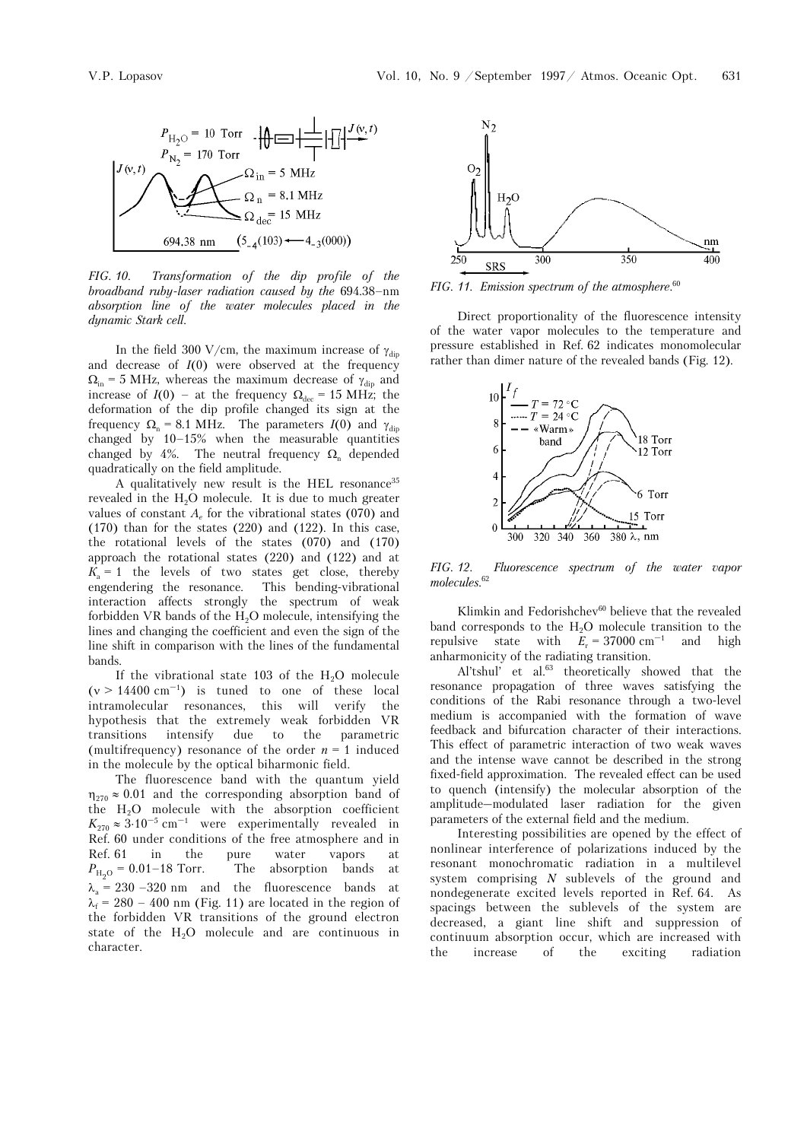

*FIG. 10. Transformation of the dip profile of the broadband ruby-laser radiation caused by the* 694.38–nm *absorption line of the water molecules placed in the dynamic Stark cell.*

In the field 300 V/cm, the maximum increase of  $\gamma_{\text{dip}}$ and decrease of  $I(0)$  were observed at the frequency  $\Omega_{\text{in}}$  = 5 MHz, whereas the maximum decrease of  $\gamma_{\text{dip}}$  and increase of  $I(0)$  – at the frequency  $\Omega_{\text{dec}}$  = 15 MHz; the deformation of the dip profile changed its sign at the frequency  $\Omega_n = 8.1$  MHz. The parameters  $I(0)$  and  $\gamma_{\text{dip}}$ changed by 10–15% when the measurable quantities changed by 4%. The neutral frequency  $\Omega_n$  depended quadratically on the field amplitude.

A qualitatively new result is the HEL resonance<sup>35</sup> revealed in the H<sub>2</sub>O molecule. It is due to much greater values of constant *A<sub>c</sub>* for the vibrational states (070) and  $(170)$  than for the states  $(220)$  and  $(122)$ . In this case, the rotational levels of the states (070) and (170) approach the rotational states (220) and (122) and at  $K_a = 1$  the levels of two states get close, thereby engendering the resonance. This bending-vibrational engendering the resonance. interaction affects strongly the spectrum of weak forbidden VR bands of the  $H<sub>2</sub>O$  molecule, intensifying the lines and changing the coefficient and even the sign of the line shift in comparison with the lines of the fundamental bands.

If the vibrational state 103 of the  $H_2O$  molecule  $(v > 14400 \text{ cm}^{-1})$  is tuned to one of these local intramolecular resonances, this will verify the hypothesis that the extremely weak forbidden VR transitions intensify due to the parametric (multifrequency) resonance of the order  $n = 1$  induced in the molecule by the optical biharmonic field.

The fluorescence band with the quantum yield  $\eta_{270} \approx 0.01$  and the corresponding absorption band of the  $H<sub>2</sub>O$  molecule with the absorption coefficient  $K_{270} \approx 3.10^{-5} \text{ cm}^{-1}$  were experimentally revealed in Ref. 60 under conditions of the free atmosphere and in Ref. 61 in the pure water vapors at  $P_{\text{H}_0\text{O}} = 0.01 - 18$  Torr. The absorption bands at  $\lambda_a = 230 - 320$  nm and the fluorescence bands at  $\lambda_f$  = 280 – 400 nm (Fig. 11) are located in the region of the forbidden VR transitions of the ground electron state of the  $H<sub>2</sub>O$  molecule and are continuous in character.



*FIG. 11. Emission spectrum of the atmosphere.*<sup>60</sup>

Direct proportionality of the fluorescence intensity of the water vapor molecules to the temperature and pressure established in Ref. 62 indicates monomolecular rather than dimer nature of the revealed bands (Fig. 12).



*FIG. 12. Fluorescence spectrum of the water vapor molecules.*<sup>62</sup>

Klimkin and Fedorishchev<sup>60</sup> believe that the revealed band corresponds to the  $H<sub>2</sub>O$  molecule transition to the repulsive state with  $E_r = 37000 \text{ cm}^{-1}$  and high anharmonicity of the radiating transition.

Al'tshul' et al.<sup>63</sup> theoretically showed that the resonance propagation of three waves satisfying the conditions of the Rabi resonance through a two-level medium is accompanied with the formation of wave feedback and bifurcation character of their interactions. This effect of parametric interaction of two weak waves and the intense wave cannot be described in the strong fixed-field approximation. The revealed effect can be used to quench (intensify) the molecular absorption of the amplitude–modulated laser radiation for the given parameters of the external field and the medium.

Interesting possibilities are opened by the effect of nonlinear interference of polarizations induced by the resonant monochromatic radiation in a multilevel system comprising *N* sublevels of the ground and nondegenerate excited levels reported in Ref. 64. As spacings between the sublevels of the system are decreased, a giant line shift and suppression of continuum absorption occur, which are increased with the increase of the exciting radiation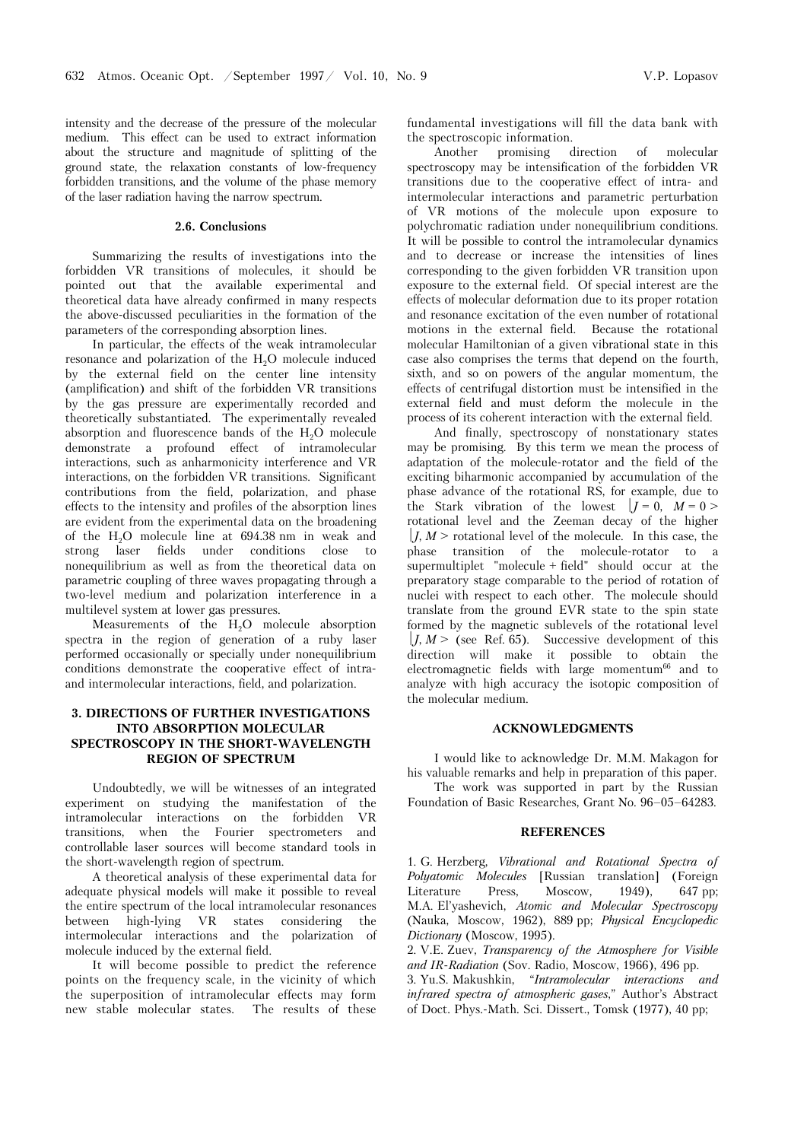intensity and the decrease of the pressure of the molecular medium. This effect can be used to extract information about the structure and magnitude of splitting of the ground state, the relaxation constants of low-frequency forbidden transitions, and the volume of the phase memory of the laser radiation having the narrow spectrum.

#### **2.6. Conclusions**

Summarizing the results of investigations into the forbidden VR transitions of molecules, it should be pointed out that the available experimental and theoretical data have already confirmed in many respects the above-discussed peculiarities in the formation of the parameters of the corresponding absorption lines.

In particular, the effects of the weak intramolecular resonance and polarization of the  $H<sub>2</sub>O$  molecule induced by the external field on the center line intensity (amplification) and shift of the forbidden VR transitions by the gas pressure are experimentally recorded and theoretically substantiated. The experimentally revealed absorption and fluorescence bands of the  $H<sub>2</sub>O$  molecule demonstrate a profound effect of intramolecular interactions, such as anharmonicity interference and VR interactions, on the forbidden VR transitions. Significant contributions from the field, polarization, and phase effects to the intensity and profiles of the absorption lines are evident from the experimental data on the broadening of the  $H<sub>2</sub>O$  molecule line at  $694.38$  nm in weak and strong laser fields under conditions close to nonequilibrium as well as from the theoretical data on parametric coupling of three waves propagating through a two-level medium and polarization interference in a multilevel system at lower gas pressures.

Measurements of the  $H_2O$  molecule absorption spectra in the region of generation of a ruby laser performed occasionally or specially under nonequilibrium conditions demonstrate the cooperative effect of intraand intermolecular interactions, field, and polarization.

# **3. DIRECTIONS OF FURTHER INVESTIGATIONS INTO ABSORPTION MOLECULAR SPECTROSCOPY IN THE SHORT-WAVELENGTH REGION OF SPECTRUM**

Undoubtedly, we will be witnesses of an integrated experiment on studying the manifestation of the intramolecular interactions on the forbidden VR transitions, when the Fourier spectrometers and controllable laser sources will become standard tools in the short-wavelength region of spectrum.

A theoretical analysis of these experimental data for adequate physical models will make it possible to reveal the entire spectrum of the local intramolecular resonances between high-lying VR states considering the intermolecular interactions and the polarization of molecule induced by the external field.

It will become possible to predict the reference points on the frequency scale, in the vicinity of which the superposition of intramolecular effects may form new stable molecular states. The results of these fundamental investigations will fill the data bank with the spectroscopic information.

Another promising direction of molecular spectroscopy may be intensification of the forbidden VR transitions due to the cooperative effect of intra- and intermolecular interactions and parametric perturbation of VR motions of the molecule upon exposure to polychromatic radiation under nonequilibrium conditions. It will be possible to control the intramolecular dynamics and to decrease or increase the intensities of lines corresponding to the given forbidden VR transition upon exposure to the external field. Of special interest are the effects of molecular deformation due to its proper rotation and resonance excitation of the even number of rotational motions in the external field. Because the rotational molecular Hamiltonian of a given vibrational state in this case also comprises the terms that depend on the fourth, sixth, and so on powers of the angular momentum, the effects of centrifugal distortion must be intensified in the external field and must deform the molecule in the process of its coherent interaction with the external field.

And finally, spectroscopy of nonstationary states may be promising. By this term we mean the process of adaptation of the molecule-rotator and the field of the exciting biharmonic accompanied by accumulation of the phase advance of the rotational RS, for example, due to the Stark vibration of the lowest  $|I = 0, M = 0>$ rotational level and the Zeeman decay of the higher  $I, M$  > rotational level of the molecule. In this case, the phase transition of the molecule-rotator to a supermultiplet "molecule + field" should occur at the preparatory stage comparable to the period of rotation of nuclei with respect to each other. The molecule should translate from the ground EVR state to the spin state formed by the magnetic sublevels of the rotational level  $J, M$  > (see Ref. 65). Successive development of this direction will make it possible to obtain the electromagnetic fields with large momentum $66$  and to analyze with high accuracy the isotopic composition of the molecular medium.

### **ACKNOWLEDGMENTS**

I would like to acknowledge Dr. M.M. Makagon for his valuable remarks and help in preparation of this paper.

The work was supported in part by the Russian Foundation of Basic Researches, Grant No. 96–05–64283.

#### **REFERENCES**

1. G. Herzberg, *Vibrational and Rotational Spectra of Polyatomic Molecules* [Russian translation] (Foreign Literature Press, Moscow, 1949), 647 pp; M.A. El'yashevich, *Atomic and Molecular Spectroscopy* (Nauka, Moscow, 1962), 889 pp; *Physical Encyclopedic Dictionary* (Moscow, 1995).

2. V.E. Zuev, *Transparency of the Atmosphere for Visible and IR-Radiation* (Sov. Radio, Moscow, 1966), 496 pp.

3. Yu.S. Makushkin, "*Intramolecular interactions and infrared spectra of atmospheric gases*," Author's Abstract of Doct. Phys.-Math. Sci. Dissert., Tomsk (1977), 40 pp;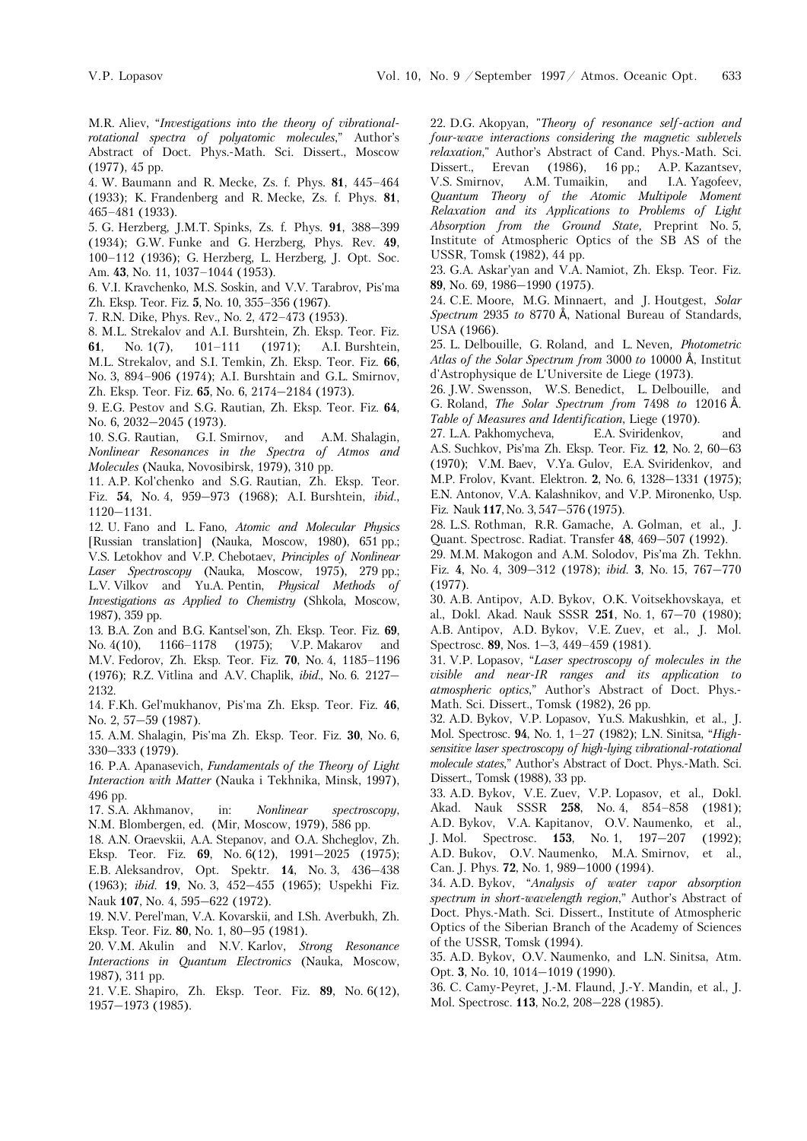M.R. Aliev, "*Investigations into the theory of vibrationalrotational spectra of polyatomic molecules*," Author's Abstract of Doct. Phys.-Math. Sci. Dissert., Moscow (1977), 45 pp.

4. W. Baumann and R. Mecke, Zs. f. Phys. **81**, 445–464 (1933); K. Frandenberg and R. Mecke, Zs. f. Phys. **81**, 465–481 (1933).

5. G. Herzberg, J.M.T. Spinks, Zs. f. Phys. **91**, 388–399 (1934); G.W. Funke and G. Herzberg, Phys. Rev. **49**, 100–112 (1936); G. Herzberg, L. Herzberg, J. Opt. Soc. Am. **43**, No. 11, 1037–1044 (1953).

6. V.I. Kravchenko, M.S. Soskin, and V.V. Tarabrov, Pis'ma Zh. Eksp. Teor. Fiz. **5**, No. 10, 355–356 (1967).

7. R.N. Dike, Phys. Rev., No. 2, 472–473 (1953).

8. M.L. Strekalov and A.I. Burshtein, Zh. Eksp. Teor. Fiz. **61**, No. 1(7), 101–111 (1971); A.I. Burshtein, M.L. Strekalov, and S.I. Temkin, Zh. Eksp. Teor. Fiz. **66**, No. 3, 894–906 (1974); A.I. Burshtain and G.L. Smirnov, Zh. Eksp. Teor. Fiz. **65**, No. 6, 2174–2184 (1973).

9. E.G. Pestov and S.G. Rautian, Zh. Eksp. Teor. Fiz. **64**, No. 6, 2032–2045 (1973).

10. S.G. Rautian, G.I. Smirnov, and A.M. Shalagin, *Nonlinear Resonances in the Spectra of Atmos and Molecules* (Nauka, Novosibirsk, 1979), 310 pp.

11. A.P. Kol'chenko and S.G. Rautian, Zh. Eksp. Teor. Fiz. **54**, No. 4, 959–973 (1968); A.I. Burshtein, *ibid.*, 1120–1131.

12. U. Fano and L. Fano, *Atomic and Molecular Physics*  [Russian translation] (Nauka, Moscow, 1980), 651 pp.; V.S. Letokhov and V.P. Chebotaev, *Principles of Nonlinear Laser Spectroscopy* (Nauka, Moscow, 1975), 279 pp.; L.V. Vilkov and Yu.A. Pentin, *Physical Methods of Investigations as Applied to Chemistry* (Shkola, Moscow, 1987), 359 pp.

13. B.A. Zon and B.G. Kantsel'son, Zh. Eksp. Teor. Fiz. **69**, No. 4(10), 1166–1178 (1975); V.P. Makarov and M.V. Fedorov, Zh. Eksp. Teor. Fiz. **70**, No. 4, 1185–1196 (1976); R.Z. Vitlina and A.V. Chaplik, *ibid.*, No. 6. 2127– 2132.

14. F.Kh. Gel'mukhanov, Pis'ma Zh. Eksp. Teor. Fiz. **46**, No. 2, 57–59 (1987).

15. A.M. Shalagin, Pis'ma Zh. Eksp. Teor. Fiz. **30**, No. 6, 330–333 (1979).

16. P.A. Apanasevich, *Fundamentals of the Theory of Light Interaction with Matter* (Nauka i Tekhnika, Minsk, 1997), 496 pp.

17. S.A. Akhmanov, in: *Nonlinear spectroscopy*, N.M. Blombergen, ed. (Mir, Moscow, 1979), 586 pp.

18. A.N. Oraevskii, A.A. Stepanov, and O.A. Shcheglov, Zh. Eksp. Teor. Fiz. **69**, No. 6(12), 1991–2025 (1975); E.B. Aleksandrov, Opt. Spektr. **14**, No. 3, 436–438 (1963); *ibid*. **19**, No. 3, 452–455 (1965); Uspekhi Fiz. Nauk **107**, No. 4, 595–622 (1972).

19. N.V. Perel'man, V.A. Kovarskii, and I.Sh. Averbukh, Zh. Eksp. Teor. Fiz. **80**, No. 1, 80–95 (1981).

20. V.M. Akulin and N.V. Karlov, *Strong Resonance Interactions in Quantum Electronics* (Nauka, Moscow, 1987), 311 pp.

21. V.E. Shapiro, Zh. Eksp. Teor. Fiz. **89**, No. 6(12), 1957–1973 (1985).

22. D.G. Akopyan, "*Theory of resonance self-action and four-wave interactions considering the magnetic sublevels relaxation*," Author's Abstract of Cand. Phys.-Math. Sci. Dissert., Erevan (1986), 16 pp.; A.P. Kazantsev, V.S. Smirnov, A.M. Tumaikin, and I.A. Yagofeev, *Quantum Theory of the Atomic Multipole Moment Relaxation and its Applications to Problems of Light Absorption from the Ground State,* Preprint No. 5, Institute of Atmospheric Optics of the SB AS of the USSR, Tomsk (1982), 44 pp.

23. G.A. Askar'yan and V.A. Namiot, Zh. Eksp. Teor. Fiz. **89**, No. 69, 1986–1990 (1975).

24. C.E. Moore, M.G. Minnaert, and J. Houtgest, *Solar Spectrum* 2935 to 8770 Å, National Bureau of Standards, USA (1966).

25. L. Delbouille, G. Roland, and L. Neven*, Photometric*  Atlas of the Solar Spectrum from 3000 to 10000 Å, Institut d'Astrophysique de L'Universite de Liege (1973).

26. J.W. Swensson, W.S. Benedict, L. Delbouille, and G. Roland, *The Solar Spectrum from 7498 to 12016* Å. *Table of Measures and Identification*, Liege (1970).

27. L.A. Pakhomycheva, E.A. Sviridenkov, and A.S. Suchkov, Pis'ma Zh. Eksp. Teor. Fiz. **12**, No. 2, 60–63 (1970); V.M. Baev, V.Ya. Gulov, E.A. Sviridenkov, and M.P. Frolov, Kvant. Elektron. **2**, No. 6, 1328–1331 (1975); E.N. Antonov, V.A. Kalashnikov, and V.P. Mironenko, Usp. Fiz. Nauk **117**, No. 3, 547–576 (1975).

28. L.S. Rothman, R.R. Gamache, A. Golman, et al., J. Quant. Spectrosc. Radiat. Transfer **48**, 469–507 (1992).

29. M.M. Makogon and A.M. Solodov, Pis'ma Zh. Tekhn. Fiz. **4**, No. 4, 309–312 (1978); *ibid.* **3**, No. 15, 767–770 (1977).

30. A.B. Antipov, A.D. Bykov, O.K. Voitsekhovskaya, et al., Dokl. Akad. Nauk SSSR **251**, No. 1, 67–70 (1980); A.B. Antipov, A.D. Bykov, V.E. Zuev, et al., J. Mol. Spectrosc. **89**, Nos. 1–3, 449–459 (1981).

31. V.P. Lopasov, "*Laser spectroscopy of molecules in the visible and near-IR ranges and its application to atmospheric optics*," Author's Abstract of Doct. Phys.- Math. Sci. Dissert., Tomsk (1982), 26 pp.

32. A.D. Bykov, V.P. Lopasov, Yu.S. Makushkin, et al., J. Mol. Spectrosc. **94**, No. 1, 1–27 (1982); L.N. Sinitsa, "*Highsensitive laser spectroscopy of high-lying vibrational-rotational molecule states*," Author's Abstract of Doct. Phys.-Math. Sci. Dissert., Tomsk (1988), 33 pp.

33. A.D. Bykov, V.E. Zuev, V.P. Lopasov, et al., Dokl. Akad. Nauk SSSR **258**, No. 4, 854–858 (1981); A.D. Bykov, V.A. Kapitanov, O.V. Naumenko, et al., J. Mol. Spectrosc. **153**, No. 1, 197–207 (1992); A.D. Bukov, O.V. Naumenko, M.A. Smirnov, et al., Can. J. Phys. **72**, No. 1, 989–1000 (1994).

34. A.D. Bykov, "*Analysis of water vapor absorption spectrum in short-wavelength region*," Author's Abstract of Doct. Phys.-Math. Sci. Dissert., Institute of Atmospheric Optics of the Siberian Branch of the Academy of Sciences of the USSR, Tomsk (1994).

35. A.D. Bykov, O.V. Naumenko, and L.N. Sinitsa, Atm. Opt. **3**, No. 10, 1014–1019 (1990).

36. C. Сamy-Peyret, J.-M. Flaund, J.-Y. Mandin, et al., J. Mol. Spectrosc. **113**, No.2, 208–228 (1985).